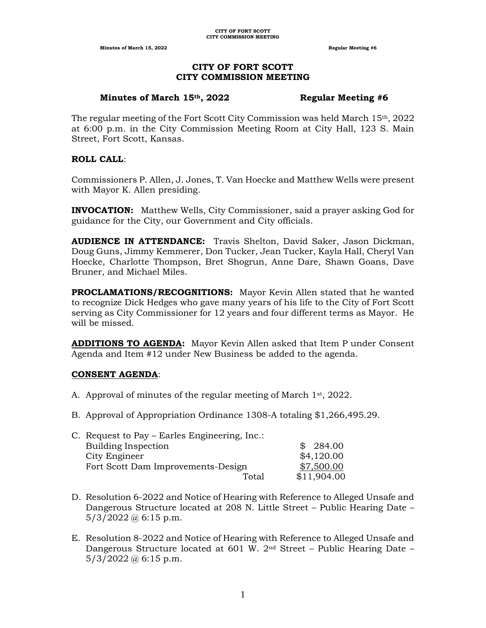**Minutes of March 15, 2022 Regular Meeting #6 Regular Meeting #6** 

#### **CITY OF FORT SCOTT CITY COMMISSION MEETING**

#### **Minutes of March 15th, 2022 Regular Meeting #6**

The regular meeting of the Fort Scott City Commission was held March 15th, 2022 at 6:00 p.m. in the City Commission Meeting Room at City Hall, 123 S. Main Street, Fort Scott, Kansas.

# **ROLL CALL**:

Commissioners P. Allen, J. Jones, T. Van Hoecke and Matthew Wells were present with Mayor K. Allen presiding.

**INVOCATION:** Matthew Wells, City Commissioner, said a prayer asking God for guidance for the City, our Government and City officials.

**AUDIENCE IN ATTENDANCE:** Travis Shelton, David Saker, Jason Dickman, Doug Guns, Jimmy Kemmerer, Don Tucker, Jean Tucker, Kayla Hall, Cheryl Van Hoecke, Charlotte Thompson, Bret Shogrun, Anne Dare, Shawn Goans, Dave Bruner, and Michael Miles.

**PROCLAMATIONS/RECOGNITIONS:** Mayor Kevin Allen stated that he wanted to recognize Dick Hedges who gave many years of his life to the City of Fort Scott serving as City Commissioner for 12 years and four different terms as Mayor. He will be missed.

**ADDITIONS TO AGENDA:** Mayor Kevin Allen asked that Item P under Consent Agenda and Item #12 under New Business be added to the agenda.

# **CONSENT AGENDA**:

- A. Approval of minutes of the regular meeting of March  $1<sup>st</sup>$ , 2022.
- B. Approval of Appropriation Ordinance 1308-A totaling \$1,266,495.29.

| C. Request to Pay – Earles Engineering, Inc.: |             |
|-----------------------------------------------|-------------|
| <b>Building Inspection</b>                    | \$284.00    |
| City Engineer                                 | \$4,120.00  |
| Fort Scott Dam Improvements-Design            | \$7,500.00  |
| Total                                         | \$11,904.00 |
|                                               |             |

- D. Resolution 6-2022 and Notice of Hearing with Reference to Alleged Unsafe and Dangerous Structure located at 208 N. Little Street – Public Hearing Date –  $5/3/2022$  @ 6:15 p.m.
- E. Resolution 8-2022 and Notice of Hearing with Reference to Alleged Unsafe and Dangerous Structure located at 601 W.  $2<sup>nd</sup>$  Street – Public Hearing Date –  $5/3/2022$  @ 6:15 p.m.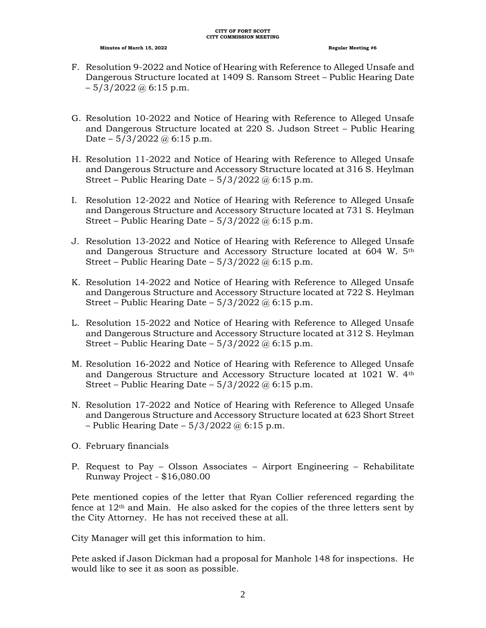- F. Resolution 9-2022 and Notice of Hearing with Reference to Alleged Unsafe and Dangerous Structure located at 1409 S. Ransom Street – Public Hearing Date  $-5/3/2022$  @ 6:15 p.m.
- G. Resolution 10-2022 and Notice of Hearing with Reference to Alleged Unsafe and Dangerous Structure located at 220 S. Judson Street – Public Hearing Date –  $5/3/2022$  @ 6:15 p.m.
- H. Resolution 11-2022 and Notice of Hearing with Reference to Alleged Unsafe and Dangerous Structure and Accessory Structure located at 316 S. Heylman Street – Public Hearing Date –  $5/3/2022 \omega$  6:15 p.m.
- I. Resolution 12-2022 and Notice of Hearing with Reference to Alleged Unsafe and Dangerous Structure and Accessory Structure located at 731 S. Heylman Street – Public Hearing Date –  $5/3/2022 \omega$  6:15 p.m.
- J. Resolution 13-2022 and Notice of Hearing with Reference to Alleged Unsafe and Dangerous Structure and Accessory Structure located at 604 W. 5th Street – Public Hearing Date –  $5/3/2022 \omega$  6:15 p.m.
- K. Resolution 14-2022 and Notice of Hearing with Reference to Alleged Unsafe and Dangerous Structure and Accessory Structure located at 722 S. Heylman Street – Public Hearing Date –  $5/3/2022$  @ 6:15 p.m.
- L. Resolution 15-2022 and Notice of Hearing with Reference to Alleged Unsafe and Dangerous Structure and Accessory Structure located at 312 S. Heylman Street – Public Hearing Date –  $5/3/2022 \omega$  6:15 p.m.
- M. Resolution 16-2022 and Notice of Hearing with Reference to Alleged Unsafe and Dangerous Structure and Accessory Structure located at 1021 W. 4th Street – Public Hearing Date –  $5/3/2022$  @ 6:15 p.m.
- N. Resolution 17-2022 and Notice of Hearing with Reference to Alleged Unsafe and Dangerous Structure and Accessory Structure located at 623 Short Street – Public Hearing Date –  $5/3/2022$  @ 6:15 p.m.
- O. February financials
- P. Request to Pay Olsson Associates Airport Engineering Rehabilitate Runway Project - \$16,080.00

Pete mentioned copies of the letter that Ryan Collier referenced regarding the fence at  $12<sup>th</sup>$  and Main. He also asked for the copies of the three letters sent by the City Attorney. He has not received these at all.

City Manager will get this information to him.

Pete asked if Jason Dickman had a proposal for Manhole 148 for inspections. He would like to see it as soon as possible.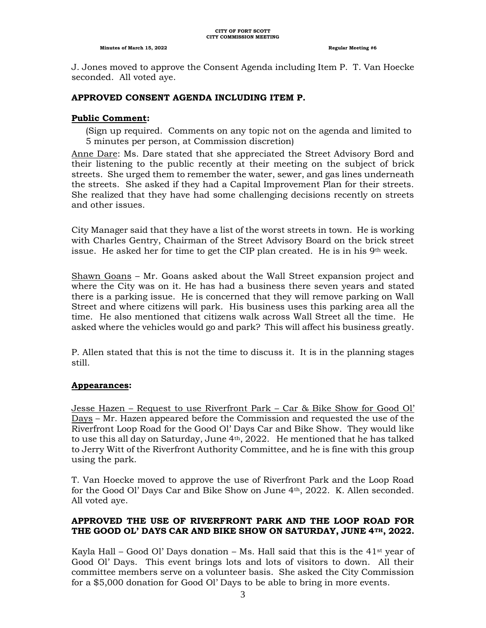#### **CITY OF FORT SCOTT CITY COMMISSION MEETING**

#### **Minutes of March 15, 2022 Regular Meeting #6**

J. Jones moved to approve the Consent Agenda including Item P. T. Van Hoecke seconded. All voted aye.

#### **APPROVED CONSENT AGENDA INCLUDING ITEM P.**

#### **Public Comment:**

(Sign up required. Comments on any topic not on the agenda and limited to 5 minutes per person, at Commission discretion)

Anne Dare: Ms. Dare stated that she appreciated the Street Advisory Bord and their listening to the public recently at their meeting on the subject of brick streets. She urged them to remember the water, sewer, and gas lines underneath the streets. She asked if they had a Capital Improvement Plan for their streets. She realized that they have had some challenging decisions recently on streets and other issues.

City Manager said that they have a list of the worst streets in town. He is working with Charles Gentry, Chairman of the Street Advisory Board on the brick street issue. He asked her for time to get the CIP plan created. He is in his  $9<sup>th</sup>$  week.

Shawn Goans – Mr. Goans asked about the Wall Street expansion project and where the City was on it. He has had a business there seven years and stated there is a parking issue. He is concerned that they will remove parking on Wall Street and where citizens will park. His business uses this parking area all the time. He also mentioned that citizens walk across Wall Street all the time. He asked where the vehicles would go and park? This will affect his business greatly.

P. Allen stated that this is not the time to discuss it. It is in the planning stages still.

#### **Appearances:**

Jesse Hazen – Request to use Riverfront Park – Car & Bike Show for Good Ol' Days – Mr. Hazen appeared before the Commission and requested the use of the Riverfront Loop Road for the Good Ol' Days Car and Bike Show. They would like to use this all day on Saturday, June 4th, 2022. He mentioned that he has talked to Jerry Witt of the Riverfront Authority Committee, and he is fine with this group using the park.

T. Van Hoecke moved to approve the use of Riverfront Park and the Loop Road for the Good Ol' Days Car and Bike Show on June 4th, 2022. K. Allen seconded. All voted aye.

# **APPROVED THE USE OF RIVERFRONT PARK AND THE LOOP ROAD FOR THE GOOD OL' DAYS CAR AND BIKE SHOW ON SATURDAY, JUNE 4TH, 2022.**

Kayla Hall – Good Ol' Days donation – Ms. Hall said that this is the 41<sup>st</sup> year of Good Ol' Days. This event brings lots and lots of visitors to down. All their committee members serve on a volunteer basis. She asked the City Commission for a \$5,000 donation for Good Ol' Days to be able to bring in more events.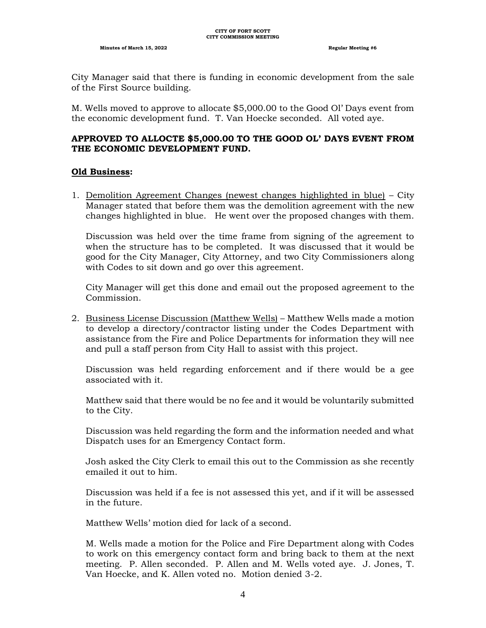City Manager said that there is funding in economic development from the sale of the First Source building.

M. Wells moved to approve to allocate \$5,000.00 to the Good Ol' Days event from the economic development fund. T. Van Hoecke seconded. All voted aye.

## **APPROVED TO ALLOCTE \$5,000.00 TO THE GOOD OL' DAYS EVENT FROM THE ECONOMIC DEVELOPMENT FUND.**

#### **Old Business:**

1. Demolition Agreement Changes (newest changes highlighted in blue) – City Manager stated that before them was the demolition agreement with the new changes highlighted in blue. He went over the proposed changes with them.

Discussion was held over the time frame from signing of the agreement to when the structure has to be completed. It was discussed that it would be good for the City Manager, City Attorney, and two City Commissioners along with Codes to sit down and go over this agreement.

City Manager will get this done and email out the proposed agreement to the Commission.

2. Business License Discussion (Matthew Wells) – Matthew Wells made a motion to develop a directory/contractor listing under the Codes Department with assistance from the Fire and Police Departments for information they will nee and pull a staff person from City Hall to assist with this project.

Discussion was held regarding enforcement and if there would be a gee associated with it.

Matthew said that there would be no fee and it would be voluntarily submitted to the City.

Discussion was held regarding the form and the information needed and what Dispatch uses for an Emergency Contact form.

Josh asked the City Clerk to email this out to the Commission as she recently emailed it out to him.

Discussion was held if a fee is not assessed this yet, and if it will be assessed in the future.

Matthew Wells' motion died for lack of a second.

M. Wells made a motion for the Police and Fire Department along with Codes to work on this emergency contact form and bring back to them at the next meeting. P. Allen seconded. P. Allen and M. Wells voted aye. J. Jones, T. Van Hoecke, and K. Allen voted no. Motion denied 3-2.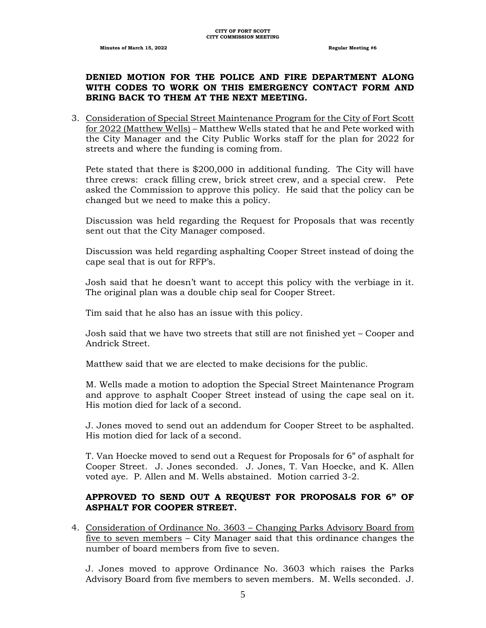# **DENIED MOTION FOR THE POLICE AND FIRE DEPARTMENT ALONG WITH CODES TO WORK ON THIS EMERGENCY CONTACT FORM AND BRING BACK TO THEM AT THE NEXT MEETING.**

3. Consideration of Special Street Maintenance Program for the City of Fort Scott for 2022 (Matthew Wells) – Matthew Wells stated that he and Pete worked with the City Manager and the City Public Works staff for the plan for 2022 for streets and where the funding is coming from.

Pete stated that there is \$200,000 in additional funding. The City will have three crews: crack filling crew, brick street crew, and a special crew. Pete asked the Commission to approve this policy. He said that the policy can be changed but we need to make this a policy.

Discussion was held regarding the Request for Proposals that was recently sent out that the City Manager composed.

Discussion was held regarding asphalting Cooper Street instead of doing the cape seal that is out for RFP's.

Josh said that he doesn't want to accept this policy with the verbiage in it. The original plan was a double chip seal for Cooper Street.

Tim said that he also has an issue with this policy.

Josh said that we have two streets that still are not finished yet – Cooper and Andrick Street.

Matthew said that we are elected to make decisions for the public.

M. Wells made a motion to adoption the Special Street Maintenance Program and approve to asphalt Cooper Street instead of using the cape seal on it. His motion died for lack of a second.

J. Jones moved to send out an addendum for Cooper Street to be asphalted. His motion died for lack of a second.

T. Van Hoecke moved to send out a Request for Proposals for 6" of asphalt for Cooper Street. J. Jones seconded. J. Jones, T. Van Hoecke, and K. Allen voted aye. P. Allen and M. Wells abstained. Motion carried 3-2.

# **APPROVED TO SEND OUT A REQUEST FOR PROPOSALS FOR 6" OF ASPHALT FOR COOPER STREET.**

4. Consideration of Ordinance No. 3603 – Changing Parks Advisory Board from five to seven members – City Manager said that this ordinance changes the number of board members from five to seven.

J. Jones moved to approve Ordinance No. 3603 which raises the Parks Advisory Board from five members to seven members. M. Wells seconded. J.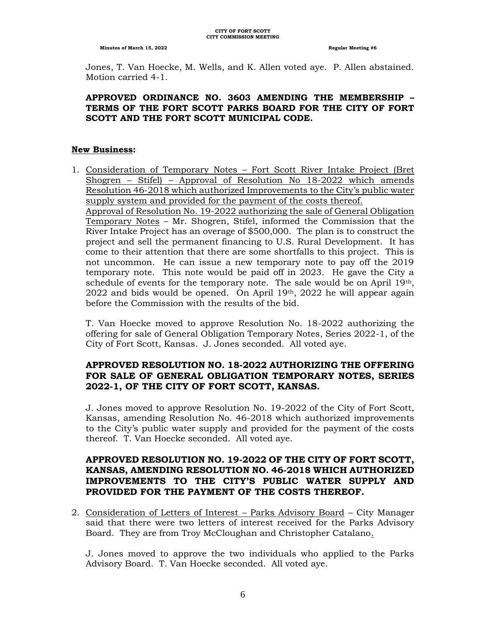Jones, T. Van Hoecke, M. Wells, and K. Allen voted aye. P. Allen abstained. Motion carried 4-1.

# **APPROVED ORDINANCE NO. 3603 AMENDING THE MEMBERSHIP – TERMS OF THE FORT SCOTT PARKS BOARD FOR THE CITY OF FORT SCOTT AND THE FORT SCOTT MUNICIPAL CODE.**

#### **New Business:**

1. Consideration of Temporary Notes – Fort Scott River Intake Project (Bret Shogren – Stifel) – Approval of Resolution No 18-2022 which amends Resolution 46-2018 which authorized Improvements to the City's public water supply system and provided for the payment of the costs thereof. Approval of Resolution No. 19-2022 authorizing the sale of General Obligation Temporary Notes – Mr. Shogren, Stifel, informed the Commission that the River Intake Project has an overage of \$500,000. The plan is to construct the project and sell the permanent financing to U.S. Rural Development. It has come to their attention that there are some shortfalls to this project. This is not uncommon. He can issue a new temporary note to pay off the 2019 temporary note. This note would be paid off in 2023. He gave the City a schedule of events for the temporary note. The sale would be on April  $19<sup>th</sup>$ ,  $2022$  and bids would be opened. On April  $19<sup>th</sup>$ ,  $2022$  he will appear again before the Commission with the results of the bid.

T. Van Hoecke moved to approve Resolution No. 18-2022 authorizing the offering for sale of General Obligation Temporary Notes, Series 2022-1, of the City of Fort Scott, Kansas. J. Jones seconded. All voted aye.

# **APPROVED RESOLUTION NO. 18-2022 AUTHORIZING THE OFFERING FOR SALE OF GENERAL OBLIGATION TEMPORARY NOTES, SERIES 2022-1, OF THE CITY OF FORT SCOTT, KANSAS.**

J. Jones moved to approve Resolution No. 19-2022 of the City of Fort Scott, Kansas, amending Resolution No. 46-2018 which authorized improvements to the City's public water supply and provided for the payment of the costs thereof. T. Van Hoecke seconded. All voted aye.

# **APPROVED RESOLUTION NO. 19-2022 OF THE CITY OF FORT SCOTT, KANSAS, AMENDING RESOLUTION NO. 46-2018 WHICH AUTHORIZED IMPROVEMENTS TO THE CITY'S PUBLIC WATER SUPPLY AND PROVIDED FOR THE PAYMENT OF THE COSTS THEREOF.**

2. Consideration of Letters of Interest – Parks Advisory Board – City Manager said that there were two letters of interest received for the Parks Advisory Board. They are from Troy McCloughan and Christopher Catalano.

J. Jones moved to approve the two individuals who applied to the Parks Advisory Board. T. Van Hoecke seconded. All voted aye.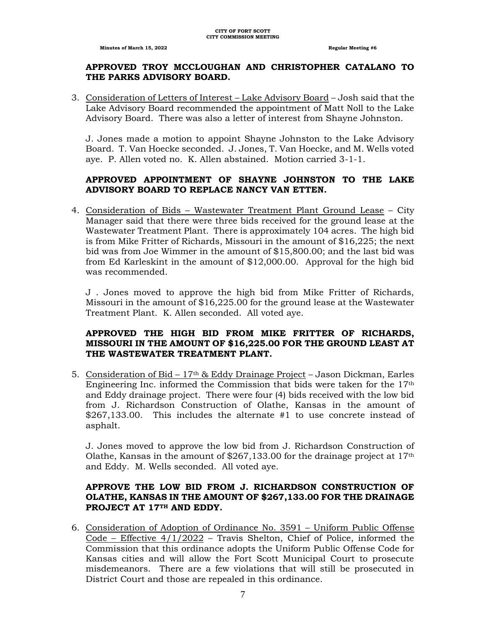#### **APPROVED TROY MCCLOUGHAN AND CHRISTOPHER CATALANO TO THE PARKS ADVISORY BOARD.**

3. Consideration of Letters of Interest – Lake Advisory Board – Josh said that the Lake Advisory Board recommended the appointment of Matt Noll to the Lake Advisory Board. There was also a letter of interest from Shayne Johnston.

J. Jones made a motion to appoint Shayne Johnston to the Lake Advisory Board. T. Van Hoecke seconded. J. Jones, T. Van Hoecke, and M. Wells voted aye. P. Allen voted no. K. Allen abstained. Motion carried 3-1-1.

# **APPROVED APPOINTMENT OF SHAYNE JOHNSTON TO THE LAKE ADVISORY BOARD TO REPLACE NANCY VAN ETTEN.**

4. Consideration of Bids – Wastewater Treatment Plant Ground Lease – City Manager said that there were three bids received for the ground lease at the Wastewater Treatment Plant. There is approximately 104 acres. The high bid is from Mike Fritter of Richards, Missouri in the amount of \$16,225; the next bid was from Joe Wimmer in the amount of \$15,800.00; and the last bid was from Ed Karleskint in the amount of \$12,000.00. Approval for the high bid was recommended.

J . Jones moved to approve the high bid from Mike Fritter of Richards, Missouri in the amount of \$16,225.00 for the ground lease at the Wastewater Treatment Plant. K. Allen seconded. All voted aye.

# **APPROVED THE HIGH BID FROM MIKE FRITTER OF RICHARDS, MISSOURI IN THE AMOUNT OF \$16,225.00 FOR THE GROUND LEAST AT THE WASTEWATER TREATMENT PLANT.**

5. Consideration of Bid – 17th & Eddy Drainage Project – Jason Dickman, Earles Engineering Inc. informed the Commission that bids were taken for the 17th and Eddy drainage project. There were four (4) bids received with the low bid from J. Richardson Construction of Olathe, Kansas in the amount of \$267,133.00. This includes the alternate #1 to use concrete instead of asphalt.

J. Jones moved to approve the low bid from J. Richardson Construction of Olathe, Kansas in the amount of  $$267,133.00$  for the drainage project at  $17<sup>th</sup>$ and Eddy. M. Wells seconded. All voted aye.

### **APPROVE THE LOW BID FROM J. RICHARDSON CONSTRUCTION OF OLATHE, KANSAS IN THE AMOUNT OF \$267,133.00 FOR THE DRAINAGE PROJECT AT 17TH AND EDDY.**

6. Consideration of Adoption of Ordinance No. 3591 – Uniform Public Offense Code – Effective  $4/1/2022$  – Travis Shelton, Chief of Police, informed the Commission that this ordinance adopts the Uniform Public Offense Code for Kansas cities and will allow the Fort Scott Municipal Court to prosecute misdemeanors. There are a few violations that will still be prosecuted in District Court and those are repealed in this ordinance.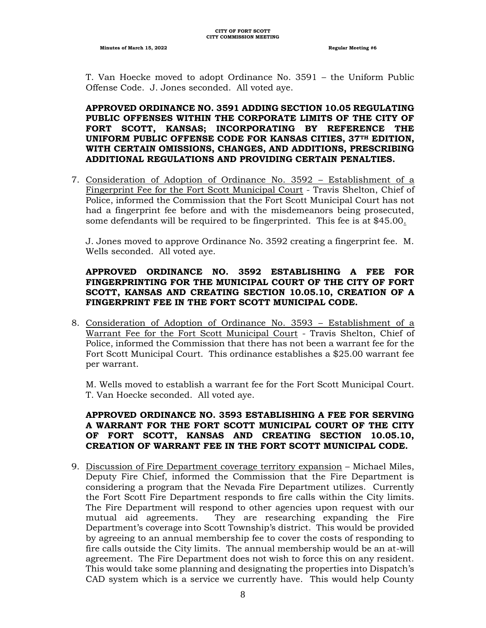**Minutes of March 15, 2022 Regular Meeting #6 Regular Meeting #6** 

T. Van Hoecke moved to adopt Ordinance No. 3591 – the Uniform Public Offense Code. J. Jones seconded. All voted aye.

**APPROVED ORDINANCE NO. 3591 ADDING SECTION 10.05 REGULATING PUBLIC OFFENSES WITHIN THE CORPORATE LIMITS OF THE CITY OF FORT SCOTT, KANSAS; INCORPORATING BY REFERENCE THE UNIFORM PUBLIC OFFENSE CODE FOR KANSAS CITIES, 37TH EDITION, WITH CERTAIN OMISSIONS, CHANGES, AND ADDITIONS, PRESCRIBING ADDITIONAL REGULATIONS AND PROVIDING CERTAIN PENALTIES.**

7. Consideration of Adoption of Ordinance No. 3592 – Establishment of a Fingerprint Fee for the Fort Scott Municipal Court - Travis Shelton, Chief of Police, informed the Commission that the Fort Scott Municipal Court has not had a fingerprint fee before and with the misdemeanors being prosecuted, some defendants will be required to be fingerprinted. This fee is at \$45.00.

J. Jones moved to approve Ordinance No. 3592 creating a fingerprint fee. M. Wells seconded. All voted aye.

# **APPROVED ORDINANCE NO. 3592 ESTABLISHING A FEE FOR FINGERPRINTING FOR THE MUNICIPAL COURT OF THE CITY OF FORT SCOTT, KANSAS AND CREATING SECTION 10.05.10, CREATION OF A FINGERPRINT FEE IN THE FORT SCOTT MUNICIPAL CODE.**

8. Consideration of Adoption of Ordinance No. 3593 – Establishment of a Warrant Fee for the Fort Scott Municipal Court - Travis Shelton, Chief of Police, informed the Commission that there has not been a warrant fee for the Fort Scott Municipal Court. This ordinance establishes a \$25.00 warrant fee per warrant.

M. Wells moved to establish a warrant fee for the Fort Scott Municipal Court. T. Van Hoecke seconded. All voted aye.

## **APPROVED ORDINANCE NO. 3593 ESTABLISHING A FEE FOR SERVING A WARRANT FOR THE FORT SCOTT MUNICIPAL COURT OF THE CITY OF FORT SCOTT, KANSAS AND CREATING SECTION 10.05.10, CREATION OF WARRANT FEE IN THE FORT SCOTT MUNICIPAL CODE.**

9. Discussion of Fire Department coverage territory expansion – Michael Miles, Deputy Fire Chief, informed the Commission that the Fire Department is considering a program that the Nevada Fire Department utilizes. Currently the Fort Scott Fire Department responds to fire calls within the City limits. The Fire Department will respond to other agencies upon request with our mutual aid agreements. They are researching expanding the Fire Department's coverage into Scott Township's district. This would be provided by agreeing to an annual membership fee to cover the costs of responding to fire calls outside the City limits. The annual membership would be an at-will agreement. The Fire Department does not wish to force this on any resident. This would take some planning and designating the properties into Dispatch's CAD system which is a service we currently have. This would help County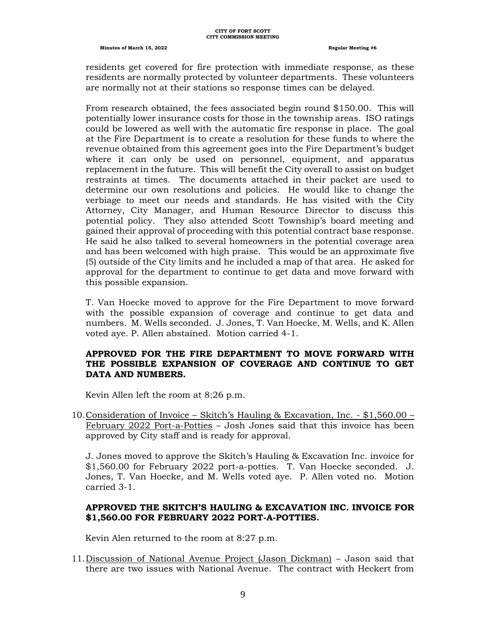residents get covered for fire protection with immediate response, as these residents are normally protected by volunteer departments. These volunteers are normally not at their stations so response times can be delayed.

From research obtained, the fees associated begin round \$150.00. This will potentially lower insurance costs for those in the township areas. ISO ratings could be lowered as well with the automatic fire response in place. The goal at the Fire Department is to create a resolution for these funds to where the revenue obtained from this agreement goes into the Fire Department's budget where it can only be used on personnel, equipment, and apparatus replacement in the future. This will benefit the City overall to assist on budget restraints at times. The documents attached in their packet are used to determine our own resolutions and policies. He would like to change the verbiage to meet our needs and standards. He has visited with the City Attorney, City Manager, and Human Resource Director to discuss this potential policy. They also attended Scott Township's board meeting and gained their approval of proceeding with this potential contract base response. He said he also talked to several homeowners in the potential coverage area and has been welcomed with high praise. This would be an approximate five (5) outside of the City limits and he included a map of that area. He asked for approval for the department to continue to get data and move forward with this possible expansion.

T. Van Hoecke moved to approve for the Fire Department to move forward with the possible expansion of coverage and continue to get data and numbers. M. Wells seconded. J. Jones, T. Van Hoecke, M. Wells, and K. Allen voted aye. P. Allen abstained. Motion carried 4-1.

#### **APPROVED FOR THE FIRE DEPARTMENT TO MOVE FORWARD WITH THE POSSIBLE EXPANSION OF COVERAGE AND CONTINUE TO GET DATA AND NUMBERS.**

Kevin Allen left the room at 8:26 p.m.

10.Consideration of Invoice – Skitch's Hauling & Excavation, Inc. - \$1,560.00 – February 2022 Port-a-Potties – Josh Jones said that this invoice has been approved by City staff and is ready for approval.

J. Jones moved to approve the Skitch's Hauling & Excavation Inc. invoice for \$1,560.00 for February 2022 port-a-potties. T. Van Hoecke seconded. J. Jones, T. Van Hoecke, and M. Wells voted aye. P. Allen voted no. Motion carried 3-1.

# **APPROVED THE SKITCH'S HAULING & EXCAVATION INC. INVOICE FOR \$1,560.00 FOR FEBRUARY 2022 PORT-A-POTTIES.**

Kevin Alen returned to the room at 8:27 p.m.

11.Discussion of National Avenue Project (Jason Dickman) – Jason said that there are two issues with National Avenue. The contract with Heckert from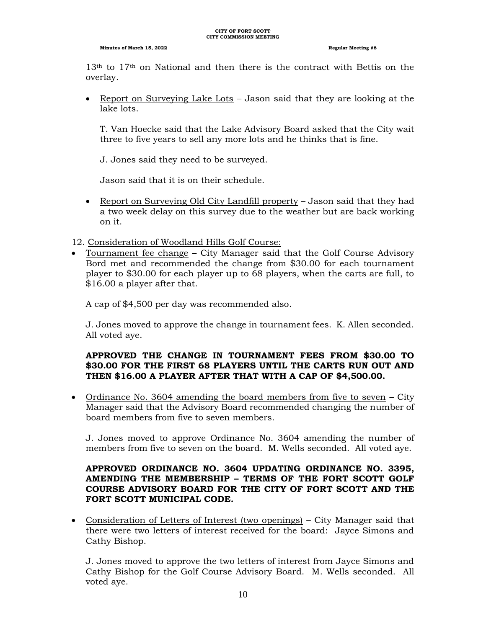$13<sup>th</sup>$  to  $17<sup>th</sup>$  on National and then there is the contract with Bettis on the overlay.

• Report on Surveying Lake Lots – Jason said that they are looking at the lake lots.

T. Van Hoecke said that the Lake Advisory Board asked that the City wait three to five years to sell any more lots and he thinks that is fine.

J. Jones said they need to be surveyed.

Jason said that it is on their schedule.

- Report on Surveying Old City Landfill property Jason said that they had a two week delay on this survey due to the weather but are back working on it.
- 12. Consideration of Woodland Hills Golf Course:
- Tournament fee change City Manager said that the Golf Course Advisory Bord met and recommended the change from \$30.00 for each tournament player to \$30.00 for each player up to 68 players, when the carts are full, to \$16.00 a player after that.

A cap of \$4,500 per day was recommended also.

J. Jones moved to approve the change in tournament fees. K. Allen seconded. All voted aye.

### **APPROVED THE CHANGE IN TOURNAMENT FEES FROM \$30.00 TO \$30.00 FOR THE FIRST 68 PLAYERS UNTIL THE CARTS RUN OUT AND THEN \$16.00 A PLAYER AFTER THAT WITH A CAP OF \$4,500.00.**

• Ordinance No. 3604 amending the board members from five to seven – City Manager said that the Advisory Board recommended changing the number of board members from five to seven members.

J. Jones moved to approve Ordinance No. 3604 amending the number of members from five to seven on the board. M. Wells seconded. All voted aye.

# **APPROVED ORDINANCE NO. 3604 UPDATING ORDINANCE NO. 3395, AMENDING THE MEMBERSHIP – TERMS OF THE FORT SCOTT GOLF COURSE ADVISORY BOARD FOR THE CITY OF FORT SCOTT AND THE FORT SCOTT MUNICIPAL CODE.**

• Consideration of Letters of Interest (two openings) – City Manager said that there were two letters of interest received for the board: Jayce Simons and Cathy Bishop.

J. Jones moved to approve the two letters of interest from Jayce Simons and Cathy Bishop for the Golf Course Advisory Board. M. Wells seconded. All voted aye.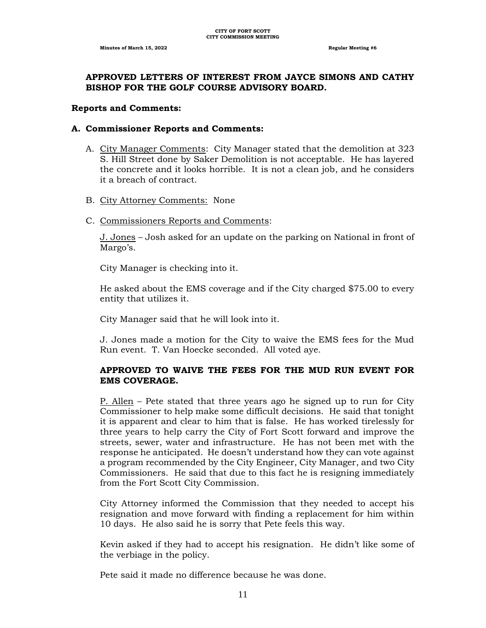#### **APPROVED LETTERS OF INTEREST FROM JAYCE SIMONS AND CATHY BISHOP FOR THE GOLF COURSE ADVISORY BOARD.**

#### **Reports and Comments:**

#### **A. Commissioner Reports and Comments:**

- A. City Manager Comments: City Manager stated that the demolition at 323 S. Hill Street done by Saker Demolition is not acceptable. He has layered the concrete and it looks horrible. It is not a clean job, and he considers it a breach of contract.
- B. City Attorney Comments: None
- C. Commissioners Reports and Comments:

J. Jones – Josh asked for an update on the parking on National in front of Margo's.

City Manager is checking into it.

He asked about the EMS coverage and if the City charged \$75.00 to every entity that utilizes it.

City Manager said that he will look into it.

J. Jones made a motion for the City to waive the EMS fees for the Mud Run event. T. Van Hoecke seconded. All voted aye.

#### **APPROVED TO WAIVE THE FEES FOR THE MUD RUN EVENT FOR EMS COVERAGE.**

P. Allen – Pete stated that three years ago he signed up to run for City Commissioner to help make some difficult decisions. He said that tonight it is apparent and clear to him that is false. He has worked tirelessly for three years to help carry the City of Fort Scott forward and improve the streets, sewer, water and infrastructure. He has not been met with the response he anticipated. He doesn't understand how they can vote against a program recommended by the City Engineer, City Manager, and two City Commissioners. He said that due to this fact he is resigning immediately from the Fort Scott City Commission.

City Attorney informed the Commission that they needed to accept his resignation and move forward with finding a replacement for him within 10 days. He also said he is sorry that Pete feels this way.

Kevin asked if they had to accept his resignation. He didn't like some of the verbiage in the policy.

Pete said it made no difference because he was done.